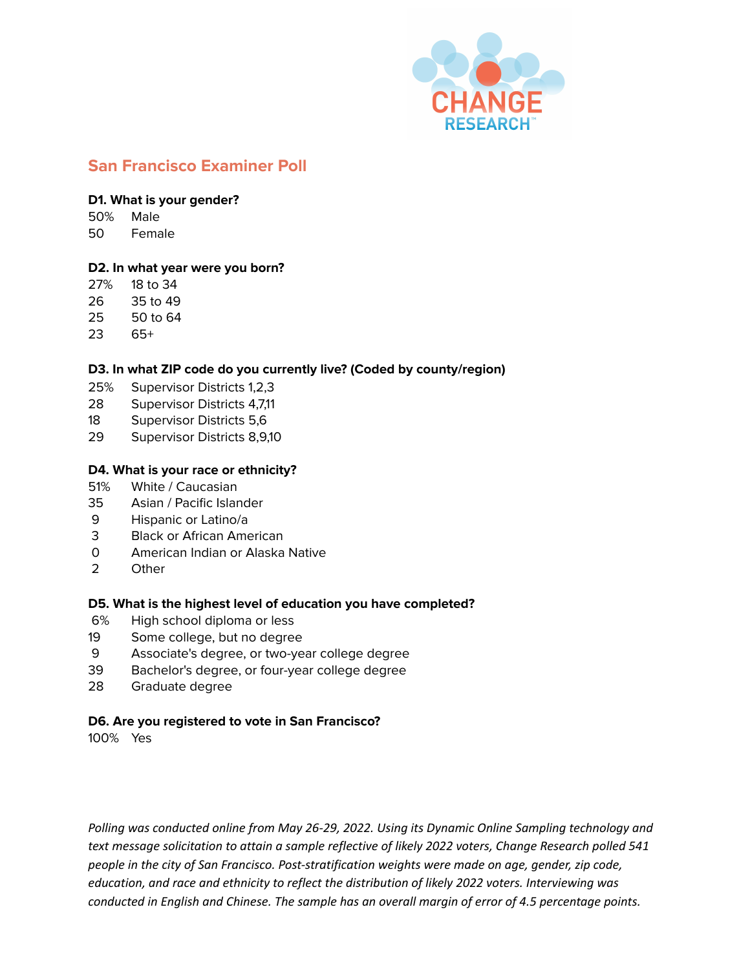

# **San Francisco Examiner Poll**

#### **D1. What is your gender?**

50% Male

50 Female

### **D2. In what year were you born?**

- 27% 18 to 34
- 26 35 to 49
- 25 50 to 64
- 23 65+

## **D3. In what ZIP code do you currently live? (Coded by county/region)**

- 25% Supervisor Districts 1,2,3
- 28 Supervisor Districts 4,7,11
- 18 Supervisor Districts 5,6
- 29 Supervisor Districts 8,9,10

## **D4. What is your race or ethnicity?**

- 51% White / Caucasian
- 35 Asian / Pacific Islander
- 9 Hispanic or Latino/a
- 3 Black or African American
- 0 American Indian or Alaska Native
- 2 Other

## **D5. What is the highest level of education you have completed?**

- 6% High school diploma or less
- 19 Some college, but no degree
- 9 Associate's degree, or two-year college degree
- 39 Bachelor's degree, or four-year college degree
- 28 Graduate degree

## **D6. Are you registered to vote in San Francisco?**

100% Yes

*Polling was conducted online from May 26-29, 2022. Using its Dynamic Online Sampling technology and text message solicitation to attain a sample reflective of likely 2022 voters, Change Research polled 541 people in the city of San Francisco. Post-stratification weights were made on age, gender, zip code, education, and race and ethnicity to reflect the distribution of likely 2022 voters. Interviewing was conducted in English and Chinese. The sample has an overall margin of error of 4.5 percentage points.*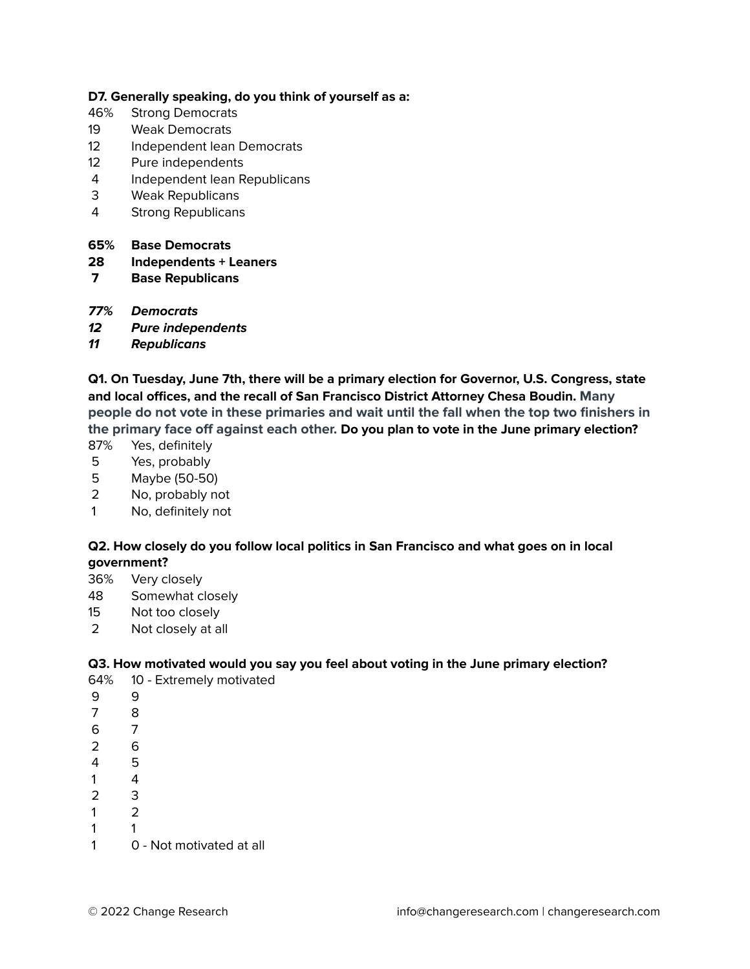#### **D7. Generally speaking, do you think of yourself as a:**

- 46% Strong Democrats
- Weak Democrats
- 12 Independent lean Democrats
- Pure independents
- Independent lean Republicans
- Weak Republicans
- Strong Republicans

#### **65% Base Democrats**

#### **Independents + Leaners**

- **Base Republicans**
- **77% Democrats**
- **Pure independents**
- **Republicans**

**Q1. On Tuesday, June 7th, there will be a primary election for Governor, U.S. Congress, state and local offices, and the recall of San Francisco District Attorney Chesa Boudin. Many people do not vote in these primaries and wait until the fall when the top two finishers in the primary face off against each other. Do you plan to vote in the June primary election?**

- 87% Yes, definitely
- Yes, probably
- Maybe (50-50)
- No, probably not
- No, definitely not

#### **Q2. How closely do you follow local politics in San Francisco and what goes on in local government?**

- 36% Very closely
- Somewhat closely
- Not too closely
- Not closely at all

#### **Q3. How motivated would you say you feel about voting in the June primary election?**

- 64% 10 Extremely motivated
- 9
- 8
- 7
- 6
- 5
- 4
- 3
- 2
- 1
- 0 Not motivated at all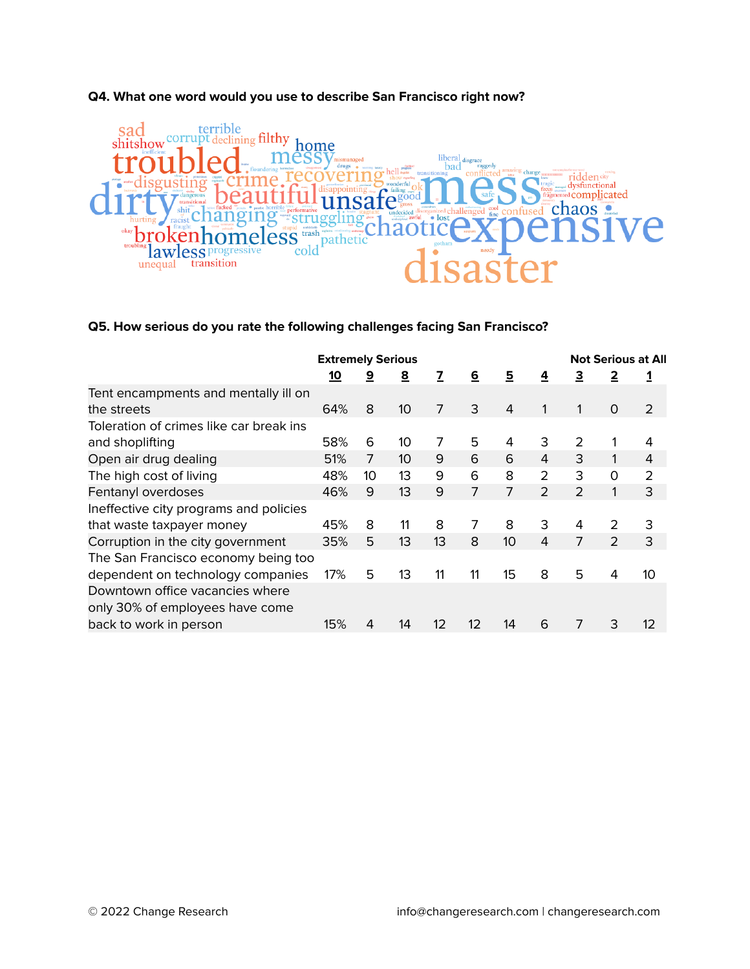# **Q4. What one word would you use to describe San Francisco right now?**



### **Q5. How serious do you rate the following challenges facing San Francisco?**

|                                         | <b>Extremely Serious</b> |    |                 |    |          |    | <b>Not Serious at All</b> |                |                |                |
|-----------------------------------------|--------------------------|----|-----------------|----|----------|----|---------------------------|----------------|----------------|----------------|
|                                         | <u>10</u>                | 9  | 8               | 7  | <u>6</u> | 5  | 4                         | З              | 2              |                |
| Tent encampments and mentally ill on    |                          |    |                 |    |          |    |                           |                |                |                |
| the streets                             | 64%                      | 8  | 10 <sup>°</sup> | 7  | 3        | 4  |                           |                | 0              | $\overline{2}$ |
| Toleration of crimes like car break ins |                          |    |                 |    |          |    |                           |                |                |                |
| and shoplifting                         | 58%                      | 6  | 10              | 7  | 5        | 4  | 3                         | 2              |                | 4              |
| Open air drug dealing                   | 51%                      | 7  | 10 <sup>°</sup> | 9  | 6        | 6  | 4                         | 3              | 1              | 4              |
| The high cost of living                 | 48%                      | 10 | 13              | 9  | 6        | 8  | 2                         | 3              | $\circ$        | $\overline{2}$ |
| Fentanyl overdoses                      | 46%                      | 9  | 13              | 9  | 7        | 7  | 2                         | $\overline{2}$ | 1              | 3              |
| Ineffective city programs and policies  |                          |    |                 |    |          |    |                           |                |                |                |
| that waste taxpayer money               | 45%                      | 8  | 11              | 8  | 7        | 8  | 3                         | 4              | 2              | 3              |
| Corruption in the city government       | 35%                      | 5  | 13              | 13 | 8        | 10 | 4                         | 7              | $\overline{2}$ | 3              |
| The San Francisco economy being too     |                          |    |                 |    |          |    |                           |                |                |                |
| dependent on technology companies       | 17%                      | 5  | 13              | 11 | 11       | 15 | 8                         | 5              | 4              | 10             |
| Downtown office vacancies where         |                          |    |                 |    |          |    |                           |                |                |                |
| only 30% of employees have come         |                          |    |                 |    |          |    |                           |                |                |                |
| back to work in person                  | 15%                      | 4  | 14              | 12 | 12       | 14 | 6                         | 7              | 3              | 12             |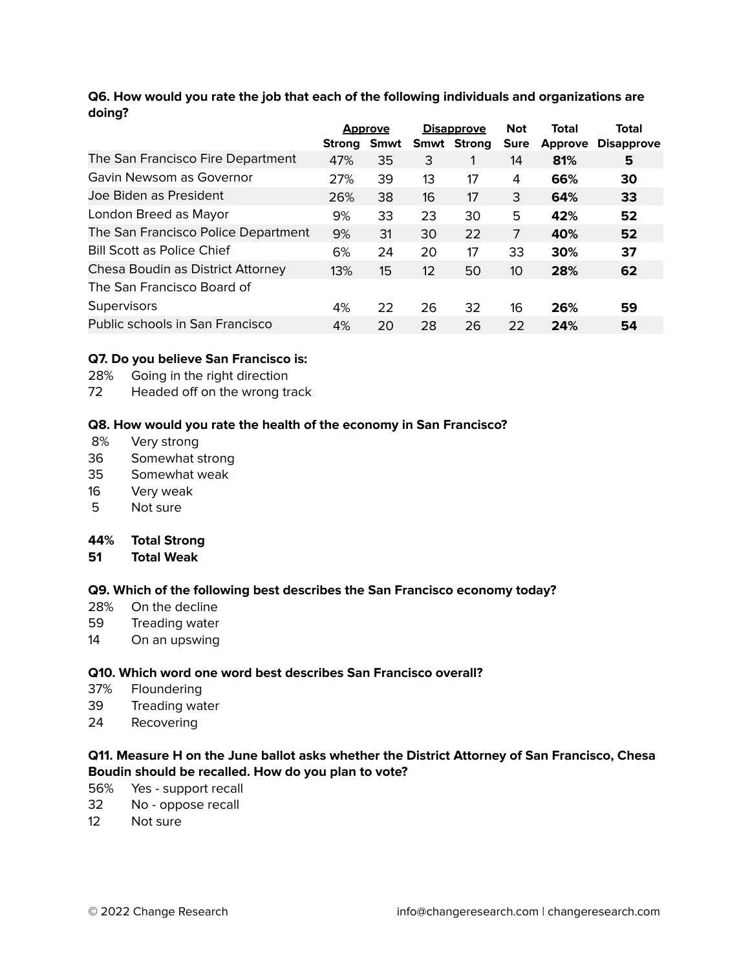### **Q6. How would you rate the job that each of the following individuals and organizations are doing?**

|                                     | <b>Approve</b> |      | <b>Disapprove</b> |                    | <b>Not</b>  | Total          | <b>Total</b>      |
|-------------------------------------|----------------|------|-------------------|--------------------|-------------|----------------|-------------------|
|                                     | Strong         | Smwt |                   | <b>Smwt Strong</b> | <b>Sure</b> | <b>Approve</b> | <b>Disapprove</b> |
| The San Francisco Fire Department   | 47%            | 35   | 3                 |                    | 14          | 81%            | 5                 |
| Gavin Newsom as Governor            | 27%            | 39   | 13                | 17                 | 4           | 66%            | 30                |
| Joe Biden as President              | 26%            | 38   | 16                | 17                 | 3           | 64%            | 33                |
| London Breed as Mayor               | 9%             | 33   | 23                | 30                 | 5           | 42%            | 52                |
| The San Francisco Police Department | 9%             | 31   | 30                | 22                 | 7           | 40%            | 52                |
| <b>Bill Scott as Police Chief</b>   | 6%             | 24   | 20                | 17                 | 33          | 30%            | 37                |
| Chesa Boudin as District Attorney   | 13%            | 15   | 12                | 50                 | 10          | 28%            | 62                |
| The San Francisco Board of          |                |      |                   |                    |             |                |                   |
| Supervisors                         | 4%             | 22   | 26                | 32                 | 16          | 26%            | 59                |
| Public schools in San Francisco     | 4%             | 20   | 28                | 26                 | 22          | 24%            | 54                |

### **Q7. Do you believe San Francisco is:**

- 28% Going in the right direction
- 72 Headed off on the wrong track

#### **Q8. How would you rate the health of the economy in San Francisco?**

- 8% Very strong
- 36 Somewhat strong
- 35 Somewhat weak
- 16 Very weak
- 5 Not sure

#### **44% Total Strong**

**51 Total Weak**

#### **Q9. Which of the following best describes the San Francisco economy today?**

- 28% On the decline
- 59 Treading water
- 14 On an upswing

### **Q10. Which word one word best describes San Francisco overall?**

- 37% Floundering
- 39 Treading water
- 24 Recovering

### **Q11. Measure H on the June ballot asks whether the District Attorney of San Francisco, Chesa Boudin should be recalled. How do you plan to vote?**

- 56% Yes support recall
- 32 No oppose recall
- 12 Not sure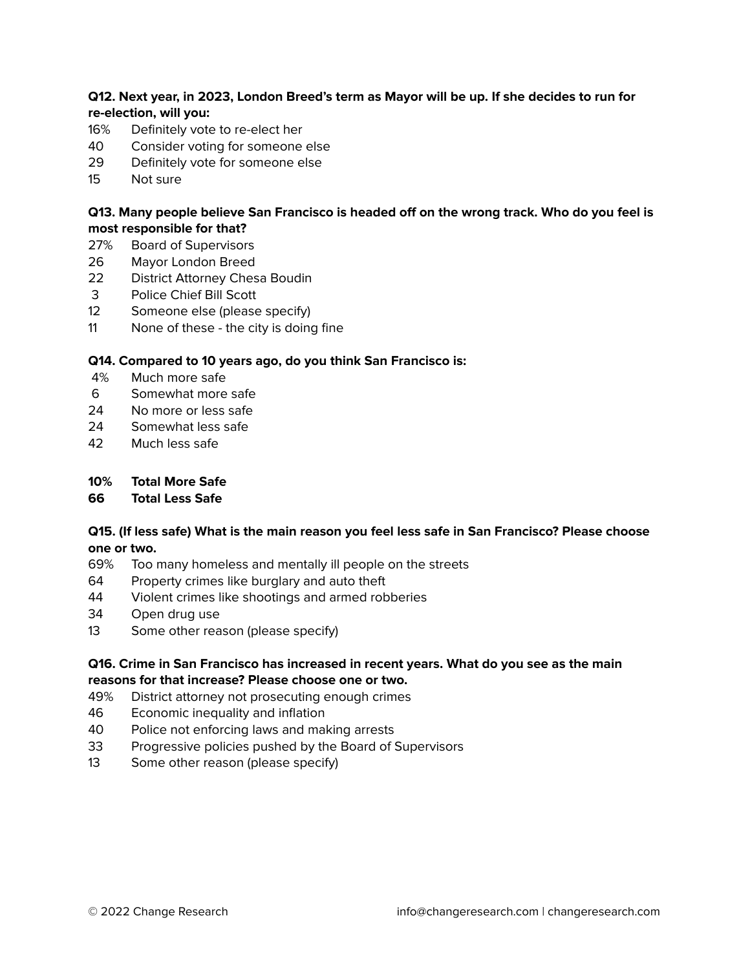### **Q12. Next year, in 2023, London Breed's term as Mayor will be up. If she decides to run for re-election, will you:**

- 16% Definitely vote to re-elect her
- 40 Consider voting for someone else
- 29 Definitely vote for someone else
- 15 Not sure

### **Q13. Many people believe San Francisco is headed off on the wrong track. Who do you feel is most responsible for that?**

- 27% Board of Supervisors
- 26 Mayor London Breed
- 22 District Attorney Chesa Boudin
- 3 Police Chief Bill Scott
- 12 Someone else (please specify)
- 11 None of these the city is doing fine

### **Q14. Compared to 10 years ago, do you think San Francisco is:**

- 4% Much more safe
- 6 Somewhat more safe
- 24 No more or less safe
- 24 Somewhat less safe
- 42 Much less safe
- **10% Total More Safe**
- **66 Total Less Safe**

#### **Q15. (If less safe) What is the main reason you feel less safe in San Francisco? Please choose one or two.**

- 69% Too many homeless and mentally ill people on the streets
- 64 Property crimes like burglary and auto theft
- 44 Violent crimes like shootings and armed robberies
- 34 Open drug use
- 13 Some other reason (please specify)

### **Q16. Crime in San Francisco has increased in recent years. What do you see as the main reasons for that increase? Please choose one or two.**

- 49% District attorney not prosecuting enough crimes
- 46 Economic inequality and inflation
- 40 Police not enforcing laws and making arrests
- 33 Progressive policies pushed by the Board of Supervisors
- 13 Some other reason (please specify)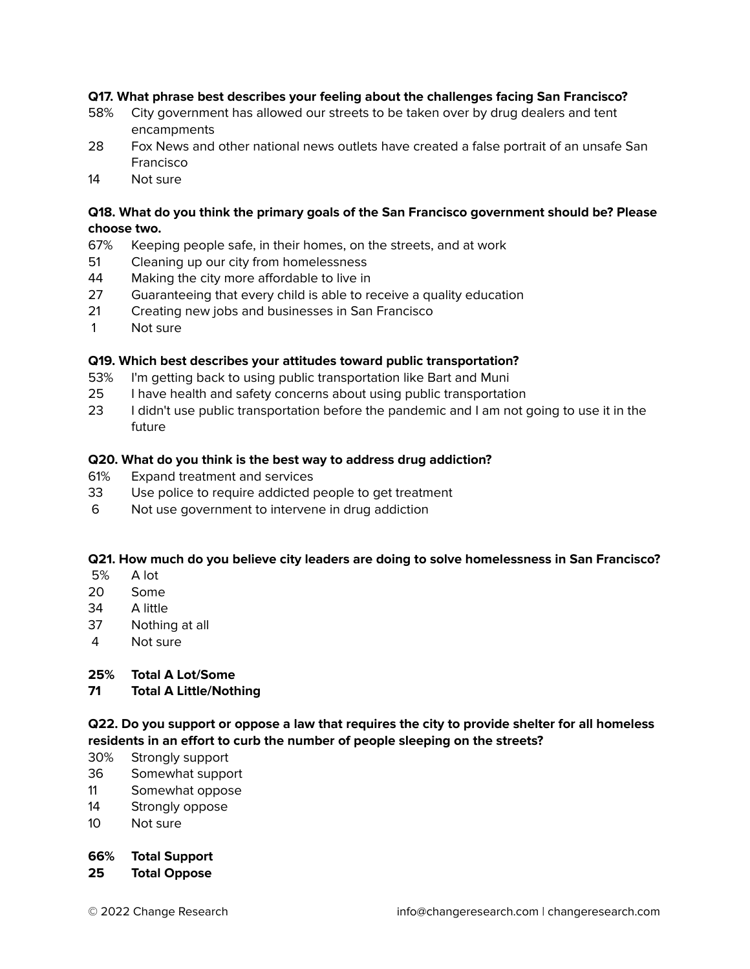### **Q17. What phrase best describes your feeling about the challenges facing San Francisco?**

- 58% City government has allowed our streets to be taken over by drug dealers and tent encampments
- 28 Fox News and other national news outlets have created a false portrait of an unsafe San Francisco
- 14 Not sure

## **Q18. What do you think the primary goals of the San Francisco government should be? Please choose two.**

- 67% Keeping people safe, in their homes, on the streets, and at work
- 51 Cleaning up our city from homelessness
- 44 Making the city more affordable to live in
- 27 Guaranteeing that every child is able to receive a quality education
- 21 Creating new jobs and businesses in San Francisco
- 1 Not sure

### **Q19. Which best describes your attitudes toward public transportation?**

- 53% I'm getting back to using public transportation like Bart and Muni
- 25 I have health and safety concerns about using public transportation
- 23 I didn't use public transportation before the pandemic and I am not going to use it in the future

#### **Q20. What do you think is the best way to address drug addiction?**

- 61% Expand treatment and services
- 33 Use police to require addicted people to get treatment
- 6 Not use government to intervene in drug addiction

## **Q21. How much do you believe city leaders are doing to solve homelessness in San Francisco?**

- 5% A lot
- 20 Some
- 34 A little
- 37 Nothing at all
- 4 Not sure

#### **25% Total A Lot/Some**

#### **71 Total A Little/Nothing**

**Q22. Do you support or oppose a law that requires the city to provide shelter for all homeless residents in an effort to curb the number of people sleeping on the streets?**

- 30% Strongly support
- 36 Somewhat support
- 11 Somewhat oppose
- 14 Strongly oppose
- 10 Not sure

#### **66% Total Support**

**25 Total Oppose**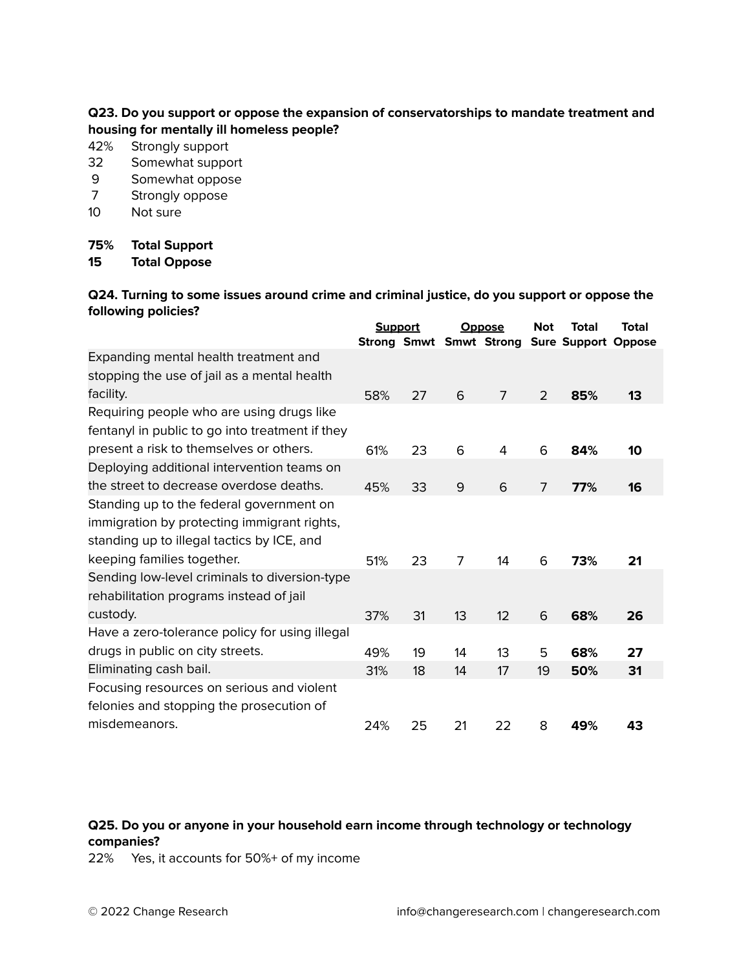### **Q23. Do you support or oppose the expansion of conservatorships to mandate treatment and housing for mentally ill homeless people?**

- 42% Strongly support
- 32 Somewhat support
- 9 Somewhat oppose
- 7 Strongly oppose
- 10 Not sure

### **75% Total Support**

**15 Total Oppose**

**Q24. Turning to some issues around crime and criminal justice, do you support or oppose the following policies?**

|                                                 | <b>Support</b><br><b>Strong Smwt Smwt Strong</b> |    | <b>Oppose</b> |                | <b>Not</b> | Total                      | Total |
|-------------------------------------------------|--------------------------------------------------|----|---------------|----------------|------------|----------------------------|-------|
| Expanding mental health treatment and           |                                                  |    |               |                |            | <b>Sure Support Oppose</b> |       |
| stopping the use of jail as a mental health     |                                                  |    |               |                |            |                            |       |
|                                                 |                                                  |    |               |                |            |                            |       |
| facility.                                       | 58%                                              | 27 | 6             | $\overline{7}$ | 2          | 85%                        | 13    |
| Requiring people who are using drugs like       |                                                  |    |               |                |            |                            |       |
| fentanyl in public to go into treatment if they |                                                  |    |               |                |            |                            |       |
| present a risk to themselves or others.         | 61%                                              | 23 | 6             | 4              | 6          | 84%                        | 10    |
| Deploying additional intervention teams on      |                                                  |    |               |                |            |                            |       |
| the street to decrease overdose deaths.         | 45%                                              | 33 | 9             | 6              | 7          | 77%                        | 16    |
| Standing up to the federal government on        |                                                  |    |               |                |            |                            |       |
| immigration by protecting immigrant rights,     |                                                  |    |               |                |            |                            |       |
| standing up to illegal tactics by ICE, and      |                                                  |    |               |                |            |                            |       |
| keeping families together.                      | 51%                                              | 23 | 7             | 14             | 6          | 73%                        | 21    |
| Sending low-level criminals to diversion-type   |                                                  |    |               |                |            |                            |       |
| rehabilitation programs instead of jail         |                                                  |    |               |                |            |                            |       |
| custody.                                        | 37%                                              | 31 | 13            | 12             | 6          | 68%                        | 26    |
| Have a zero-tolerance policy for using illegal  |                                                  |    |               |                |            |                            |       |
| drugs in public on city streets.                | 49%                                              | 19 | 14            | 13             | 5          | 68%                        | 27    |
| Eliminating cash bail.                          | 31%                                              | 18 | 14            | 17             | 19         | 50%                        | 31    |
| Focusing resources on serious and violent       |                                                  |    |               |                |            |                            |       |
| felonies and stopping the prosecution of        |                                                  |    |               |                |            |                            |       |
| misdemeanors.                                   | 24%                                              | 25 | 21            | 22             | 8          | 49%                        | 43    |

# **Q25. Do you or anyone in your household earn income through technology or technology companies?**

22% Yes, it accounts for 50%+ of my income